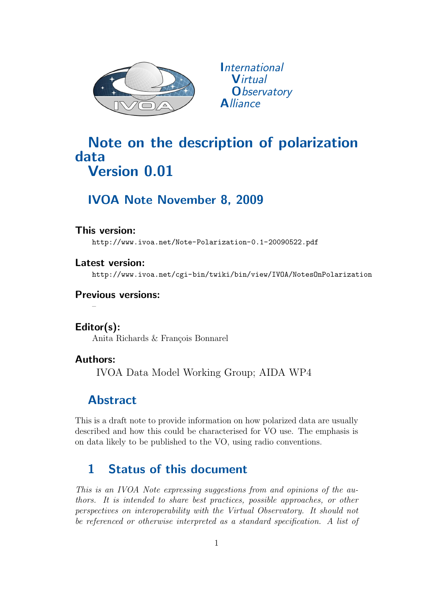

*<u>International</u>* **Virtual O**bservatory **Alliance** 

# Note on the description of polarization data Version 0.01

# IVOA Note November 8, 2009

### This version:

http://www.ivoa.net/Note-Polarization-0.1-20090522.pdf

Latest version: http://www.ivoa.net/cgi-bin/twiki/bin/view/IVOA/NotesOnPolarization

## Previous versions:

Editor(s): Anita Richards & François Bonnarel

## Authors:

–

IVOA Data Model Working Group; AIDA WP4

# Abstract

This is a draft note to provide information on how polarized data are usually described and how this could be characterised for VO use. The emphasis is on data likely to be published to the VO, using radio conventions.

# 1 Status of this document

This is an IVOA Note expressing suggestions from and opinions of the authors. It is intended to share best practices, possible approaches, or other perspectives on interoperability with the Virtual Observatory. It should not be referenced or otherwise interpreted as a standard specification. A list of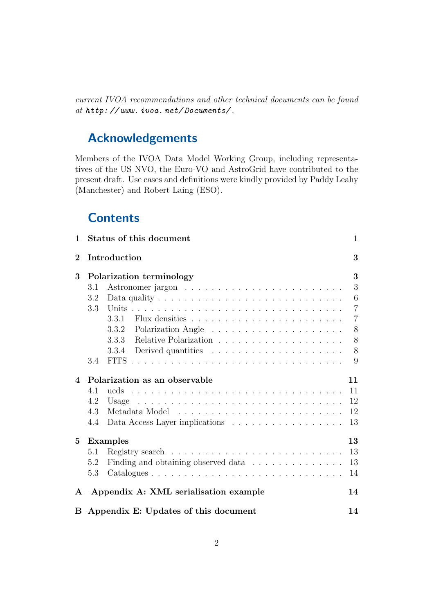current IVOA recommendations and other technical documents can be found at http: // www. ivoa. net/ Documents/ .

# Acknowledgements

Members of the IVOA Data Model Working Group, including representatives of the US NVO, the Euro-VO and AstroGrid have contributed to the present draft. Use cases and definitions were kindly provided by Paddy Leahy (Manchester) and Robert Laing (ESO).

# **Contents**

| 1            | Status of this document<br>1                                                                  |                |  |  |  |  |  |  |  |  |  |  |
|--------------|-----------------------------------------------------------------------------------------------|----------------|--|--|--|--|--|--|--|--|--|--|
| $\bf{2}$     | Introduction<br>3                                                                             |                |  |  |  |  |  |  |  |  |  |  |
| 3            | Polarization terminology                                                                      |                |  |  |  |  |  |  |  |  |  |  |
|              | 3.1                                                                                           | 3              |  |  |  |  |  |  |  |  |  |  |
|              | Data quality $\dots \dots \dots \dots \dots \dots \dots \dots \dots \dots \dots \dots$<br>3.2 | 6              |  |  |  |  |  |  |  |  |  |  |
|              | 3.3                                                                                           | $\overline{7}$ |  |  |  |  |  |  |  |  |  |  |
|              | 3.3.1                                                                                         | $\overline{7}$ |  |  |  |  |  |  |  |  |  |  |
|              | 3.3.2                                                                                         | 8              |  |  |  |  |  |  |  |  |  |  |
|              | 3.3.3                                                                                         | 8              |  |  |  |  |  |  |  |  |  |  |
|              | 3.3.4                                                                                         | 8              |  |  |  |  |  |  |  |  |  |  |
|              | 3.4                                                                                           | 9              |  |  |  |  |  |  |  |  |  |  |
| 4            | Polarization as an observable                                                                 |                |  |  |  |  |  |  |  |  |  |  |
|              | 4.1                                                                                           | 11             |  |  |  |  |  |  |  |  |  |  |
|              | 4.2                                                                                           | 12             |  |  |  |  |  |  |  |  |  |  |
|              | 4.3                                                                                           | 12             |  |  |  |  |  |  |  |  |  |  |
|              | 4.4                                                                                           | 13             |  |  |  |  |  |  |  |  |  |  |
| $5^{\circ}$  | <b>Examples</b>                                                                               |                |  |  |  |  |  |  |  |  |  |  |
|              | 5.1                                                                                           | 13             |  |  |  |  |  |  |  |  |  |  |
|              | Finding and obtaining observed data<br>5.2                                                    | 13             |  |  |  |  |  |  |  |  |  |  |
|              | 5.3                                                                                           | 14             |  |  |  |  |  |  |  |  |  |  |
| $\mathbf{A}$ | Appendix A: XML serialisation example<br>14                                                   |                |  |  |  |  |  |  |  |  |  |  |
|              | B Appendix E: Updates of this document                                                        |                |  |  |  |  |  |  |  |  |  |  |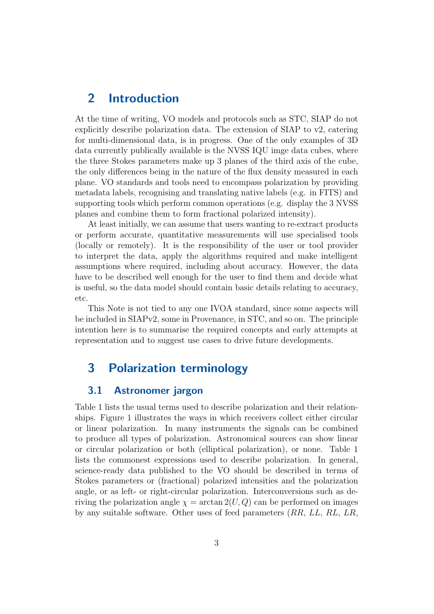## 2 Introduction

At the time of writing, VO models and protocols such as STC, SIAP do not explicitly describe polarization data. The extension of SIAP to v2, catering for multi-dimensional data, is in progress. One of the only examples of 3D data currently publically available is the NVSS IQU imge data cubes, where the three Stokes parameters make up 3 planes of the third axis of the cube, the only differences being in the nature of the flux density measured in each plane. VO standards and tools need to encompass polarization by providing metadata labels, recognising and translating native labels (e.g. in FITS) and supporting tools which perform common operations (e.g. display the 3 NVSS planes and combine them to form fractional polarized intensity).

At least initially, we can assume that users wanting to re-extract products or perform accurate, quantitative measurements will use specialised tools (locally or remotely). It is the responsibility of the user or tool provider to interpret the data, apply the algorithms required and make intelligent assumptions where required, including about accuracy. However, the data have to be described well enough for the user to find them and decide what is useful, so the data model should contain basic details relating to accuracy, etc.

This Note is not tied to any one IVOA standard, since some aspects will be included in SIAPv2, some in Provenance, in STC, and so on. The principle intention here is to summarise the required concepts and early attempts at representation and to suggest use cases to drive future developments.

## 3 Polarization terminology

#### 3.1 Astronomer jargon

Table 1 lists the usual terms used to describe polarization and their relationships. Figure 1 illustrates the ways in which receivers collect either circular or linear polarization. In many instruments the signals can be combined to produce all types of polarization. Astronomical sources can show linear or circular polarization or both (elliptical polarization), or none. Table 1 lists the commonest expressions used to describe polarization. In general, science-ready data published to the VO should be described in terms of Stokes parameters or (fractional) polarized intensities and the polarization angle, or as left- or right-circular polarization. Interconversions such as deriving the polarization angle  $\chi = \arctan 2(U, Q)$  can be performed on images by any suitable software. Other uses of feed parameters (RR, LL, RL, LR,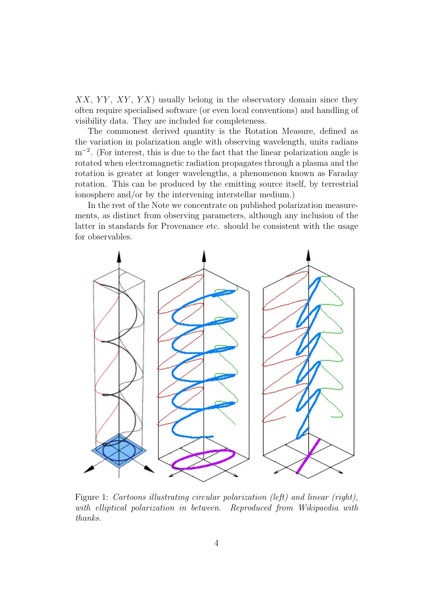$XX, YY, XY, YX$  usually belong in the observatory domain since they often require specialised software (or even local conventions) and handling of visibility data. They are included for completeness.

The commonest derived quantity is the Rotation Measure, defined as the variation in polarization angle with observing wavelength, units radians m<sup>-2</sup>. (For interest, this is due to the fact that the linear polarization angle is rotated when electromagnetic radiation propagates through a plasma and the rotation is greater at longer wavelengths, a phenomenon known as Faraday rotation. This can be produced by the emitting source itself, by terrestrial ionosphere and/or by the intervening interstellar medium.)

In the rest of the Note we concentrate on published polarization measurements, as distinct from observing parameters, although any inclusion of the latter in standards for Provenance etc. should be consistent with the usage for observables.



Figure 1: Cartoons illustrating circular polarization (left) and linear (right), with elliptical polarization in between. Reproduced from Wikipaedia with thanks.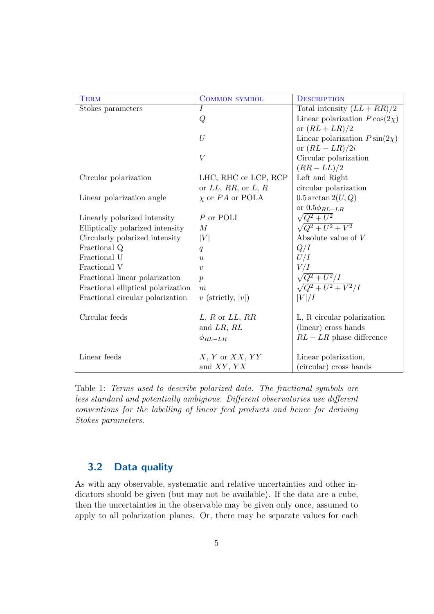| <b>TERM</b>                        | <b>COMMON SYMBOL</b>     | <b>DESCRIPTION</b>                  |
|------------------------------------|--------------------------|-------------------------------------|
| Stokes parameters                  | $\overline{I}$           | Total intensity $(LL + RR)/2$       |
|                                    | Q                        | Linear polarization $P \cos(2\chi)$ |
|                                    |                          | or $(RL+LR)/2$                      |
|                                    | U                        | Linear polarization $P\sin(2\chi)$  |
|                                    |                          | or $(RL-LR)/2i$                     |
|                                    | V                        | Circular polarization               |
|                                    |                          | $(RR - LL)/2$                       |
| Circular polarization              | LHC, RHC or LCP, RCP     | Left and Right                      |
|                                    | or $LL$ , RR, or $L$ , R | circular polarization               |
| Linear polarization angle          | $\chi$ or PA or POLA     | $0.5 \arctan 2(U,Q)$                |
|                                    |                          | or $0.5\phi_{RL-LR}$                |
| Linearly polarized intensity       | $P$ or POLI              | $\sqrt{Q^2+U^2}$                    |
| Elliptically polarized intensity   | M                        | $\sqrt{Q^2 + U^2 + V^2}$            |
| Circularly polarized intensity     | V                        | Absolute value of $V$               |
| Fractional Q                       | q                        | Q/I                                 |
| Fractional U                       | $\boldsymbol{u}$         | U/I                                 |
| Fractional V                       | $\boldsymbol{v}$         | V/I                                 |
| Fractional linear polarization     | $\boldsymbol{p}$         | $\sqrt{Q^2+U^2}/I$                  |
| Fractional elliptical polarization | $\boldsymbol{m}$         | $\sqrt{Q^2+U^2+V^2}/I$              |
| Fractional circular polarization   | $v$ (strictly,  v )      | V /I                                |
|                                    |                          |                                     |
| Circular feeds                     | $L, R$ or $LL, RR$       | L, R circular polarization          |
|                                    | and $LR, RL$             | (linear) cross hands                |
|                                    | $\phi_{RL-LR}$           | $RL - LR$ phase difference          |
|                                    |                          |                                     |
| Linear feeds                       | $X, Y$ or $XX, YY$       | Linear polarization,                |
|                                    | and $XY, YX$             | (circular) cross hands              |

Table 1: Terms used to describe polarized data. The fractional symbols are less standard and potentially ambigious. Different observatories use different conventions for the labelling of linear feed products and hence for deriving Stokes parameters.

### 3.2 Data quality

As with any observable, systematic and relative uncertainties and other indicators should be given (but may not be available). If the data are a cube, then the uncertainties in the observable may be given only once, assumed to apply to all polarization planes. Or, there may be separate values for each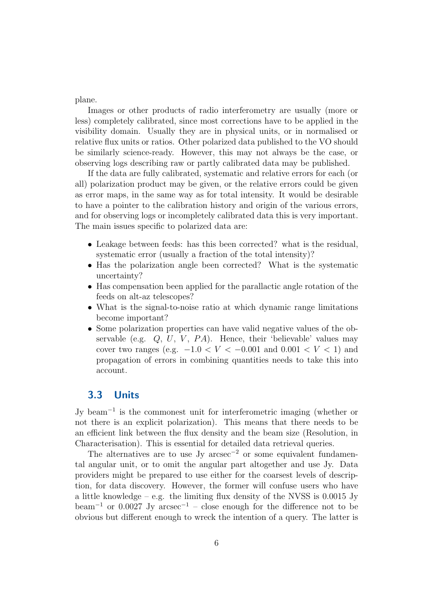plane.

Images or other products of radio interferometry are usually (more or less) completely calibrated, since most corrections have to be applied in the visibility domain. Usually they are in physical units, or in normalised or relative flux units or ratios. Other polarized data published to the VO should be similarly science-ready. However, this may not always be the case, or observing logs describing raw or partly calibrated data may be published.

If the data are fully calibrated, systematic and relative errors for each (or all) polarization product may be given, or the relative errors could be given as error maps, in the same way as for total intensity. It would be desirable to have a pointer to the calibration history and origin of the various errors, and for observing logs or incompletely calibrated data this is very important. The main issues specific to polarized data are:

- Leakage between feeds: has this been corrected? what is the residual, systematic error (usually a fraction of the total intensity)?
- Has the polarization angle been corrected? What is the systematic uncertainty?
- Has compensation been applied for the parallactic angle rotation of the feeds on alt-az telescopes?
- What is the signal-to-noise ratio at which dynamic range limitations become important?
- Some polarization properties can have valid negative values of the observable (e.g.  $Q, U, V, PA$ ). Hence, their 'believable' values may cover two ranges (e.g.  $-1.0 < V < -0.001$  and  $0.001 < V < 1$ ) and propagation of errors in combining quantities needs to take this into account.

### 3.3 Units

Jy beam<sup>−</sup><sup>1</sup> is the commonest unit for interferometric imaging (whether or not there is an explicit polarization). This means that there needs to be an efficient link between the flux density and the beam size (Resolution, in Characterisation). This is essential for detailed data retrieval queries.

The alternatives are to use Jy arcsec<sup>-2</sup> or some equivalent fundamental angular unit, or to omit the angular part altogether and use Jy. Data providers might be prepared to use either for the coarsest levels of description, for data discovery. However, the former will confuse users who have a little knowledge – e.g. the limiting flux density of the NVSS is  $0.0015$  Jy beam<sup>-1</sup> or 0.0027 Jy arcsec<sup>-1</sup> – close enough for the difference not to be obvious but different enough to wreck the intention of a query. The latter is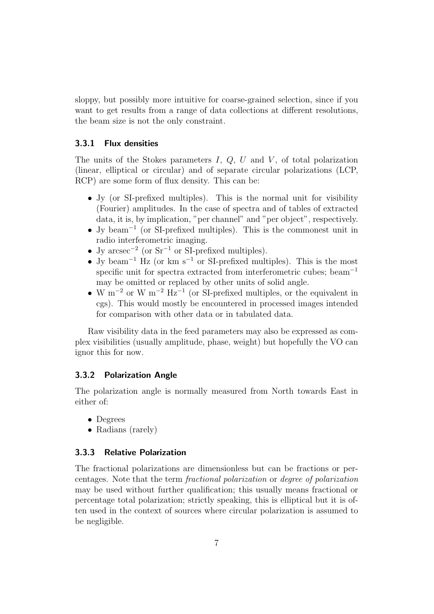sloppy, but possibly more intuitive for coarse-grained selection, since if you want to get results from a range of data collections at different resolutions, the beam size is not the only constraint.

#### 3.3.1 Flux densities

The units of the Stokes parameters  $I, Q, U$  and  $V$ , of total polarization (linear, elliptical or circular) and of separate circular polarizations (LCP, RCP) are some form of flux density. This can be:

- Jy (or SI-prefixed multiples). This is the normal unit for visibility (Fourier) amplitudes. In the case of spectra and of tables of extracted data, it is, by implication, "per channel" and "per object", respectively.
- Jy beam<sup>−</sup><sup>1</sup> (or SI-prefixed multiples). This is the commonest unit in radio interferometric imaging.
- Jy  $\arccos^{-2}$  (or  $\text{Sr}^{-1}$  or SI-prefixed multiples).
- Jy beam<sup>-1</sup> Hz (or km s<sup>-1</sup> or SI-prefixed multiples). This is the most specific unit for spectra extracted from interferometric cubes; beam<sup>-1</sup> may be omitted or replaced by other units of solid angle.
- W m<sup>-2</sup> or W m<sup>-2</sup> Hz<sup>-1</sup> (or SI-prefixed multiples, or the equivalent in cgs). This would mostly be encountered in processed images intended for comparison with other data or in tabulated data.

Raw visibility data in the feed parameters may also be expressed as complex visibilities (usually amplitude, phase, weight) but hopefully the VO can ignor this for now.

#### 3.3.2 Polarization Angle

The polarization angle is normally measured from North towards East in either of:

- Degrees
- Radians (rarely)

#### 3.3.3 Relative Polarization

The fractional polarizations are dimensionless but can be fractions or percentages. Note that the term fractional polarization or degree of polarization may be used without further qualification; this usually means fractional or percentage total polarization; strictly speaking, this is elliptical but it is often used in the context of sources where circular polarization is assumed to be negligible.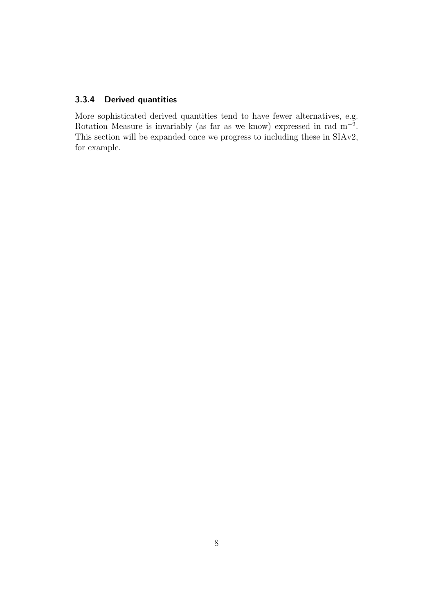#### 3.3.4 Derived quantities

More sophisticated derived quantities tend to have fewer alternatives, e.g. Rotation Measure is invariably (as far as we know) expressed in rad  $m^{-2}$ . This section will be expanded once we progress to including these in SIAv2, for example.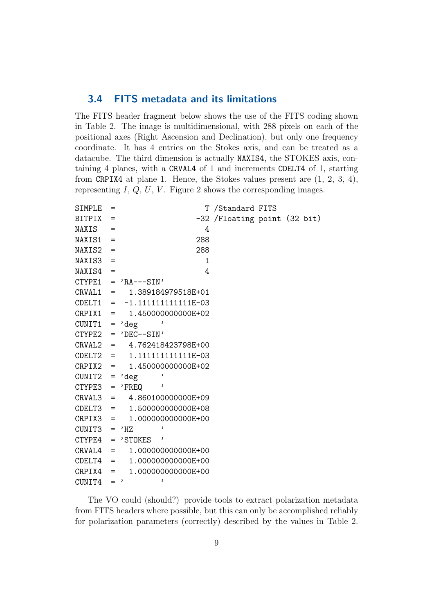#### 3.4 FITS metadata and its limitations

The FITS header fragment below shows the use of the FITS coding shown in Table 2. The image is multidimensional, with 288 pixels on each of the positional axes (Right Ascension and Declination), but only one frequency coordinate. It has 4 entries on the Stokes axis, and can be treated as a datacube. The third dimension is actually NAXIS4, the STOKES axis, containing 4 planes, with a CRVAL4 of 1 and increments CDELT4 of 1, starting from CRPIX4 at plane 1. Hence, the Stokes values present are (1, 2, 3, 4), representing  $I, Q, U, V$ . Figure 2 shows the corresponding images.

| SIMPLE           | $=$       |                               | T /Standard FITS             |  |  |
|------------------|-----------|-------------------------------|------------------------------|--|--|
| <b>BITPIX</b>    | $=$       |                               | -32 /Floating point (32 bit) |  |  |
| NAXIS            | $=$       | 4                             |                              |  |  |
| NAXIS1           | $=$       | 288                           |                              |  |  |
| NAXIS2           | $=$       | 288                           |                              |  |  |
| NAXIS3           | $=$       | 1                             |                              |  |  |
| NAXIS4           | $=$       | 4                             |                              |  |  |
|                  |           | $CTYPE1 = 'RA---SIN'$         |                              |  |  |
|                  |           | CRVAL1 = 1.389184979518E+01   |                              |  |  |
| CDELT1           |           | $= -1.111111111111E-03$       |                              |  |  |
| $CRPIX1 =$       |           | 1.450000000000E+02            |                              |  |  |
| CUNIT1           | $\quad =$ | deg                           |                              |  |  |
|                  |           | $CTYPE2 = 'DEC--SIN'$         |                              |  |  |
| CRVAL2           |           | $= 4.762418423798E+00$        |                              |  |  |
|                  |           | $CDELT2 = 1.111111111111E-03$ |                              |  |  |
| $CRPIX2 =$       |           | 1.450000000000E+02            |                              |  |  |
| $CUNIT2 =$       |           | ,<br>'deg                     |                              |  |  |
| $CTYPE3 = 'FREQ$ |           | ,                             |                              |  |  |
|                  |           | $CRVAL3 = 4.860100000000E+09$ |                              |  |  |
|                  |           | $CDELT3 = 1.500000000000E+08$ |                              |  |  |
| $CRPIX3 =$       |           | 1.00000000000E+00             |                              |  |  |
| $CUNIT3 = 'HZ$   |           |                               |                              |  |  |
| CTYPE4           |           | $=$ 'STOKES '                 |                              |  |  |
| CRVAL4           | $\equiv$  | 1.00000000000E+00             |                              |  |  |
| CDELT4           | $=$       | 1.00000000000E+00             |                              |  |  |
| CRPIX4           | $=$       | 1.00000000000E+00             |                              |  |  |
| CUNIT4           | $=$ '     | $\mathbf{r}$                  |                              |  |  |

The VO could (should?) provide tools to extract polarization metadata from FITS headers where possible, but this can only be accomplished reliably for polarization parameters (correctly) described by the values in Table 2.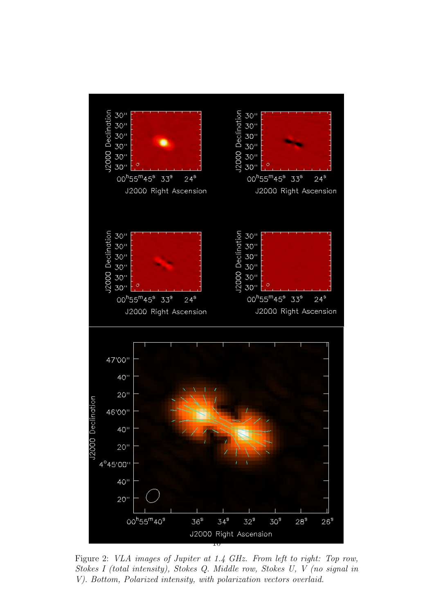

Figure 2: VLA images of Jupiter at 1.4 GHz. From left to right: Top row, Stokes I (total intensity), Stokes Q. Middle row, Stokes U, V (no signal in V). Bottom, Polarized intensity, with polarization vectors overlaid.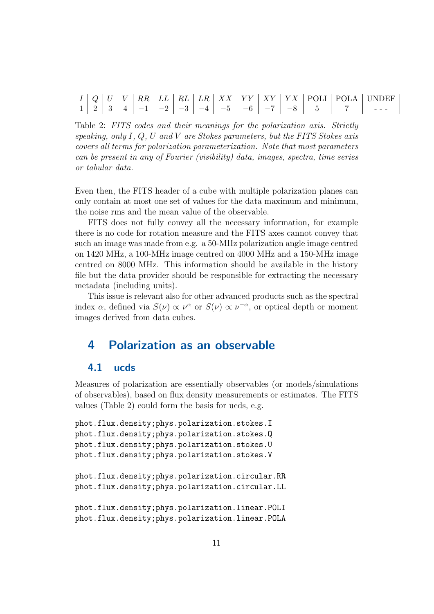| $\mathbf{I}$ | $\checkmark$ | $\frac{1}{2}$ | $RR \mid LL \mid RL \mid$ |              | $\mid LR \mid$<br>,,,,,, |      |                                       |  | XY YY XY YY YX POLI POLA | <b>LINDEF</b> |
|--------------|--------------|---------------|---------------------------|--------------|--------------------------|------|---------------------------------------|--|--------------------------|---------------|
|              | $\Omega$     |               | $\overline{\phantom{a}}$  | $1 - 2 = -3$ | $\sim -1$                | $-5$ | . <del>.</del> .<br>$\equiv$ $\prime$ |  |                          |               |

Table 2: FITS codes and their meanings for the polarization axis. Strictly speaking, only I,  $Q$ , U and V are Stokes parameters, but the FITS Stokes axis covers all terms for polarization parameterization. Note that most parameters can be present in any of Fourier (visibility) data, images, spectra, time series or tabular data.

Even then, the FITS header of a cube with multiple polarization planes can only contain at most one set of values for the data maximum and minimum, the noise rms and the mean value of the observable.

FITS does not fully convey all the necessary information, for example there is no code for rotation measure and the FITS axes cannot convey that such an image was made from e.g. a 50-MHz polarization angle image centred on 1420 MHz, a 100-MHz image centred on 4000 MHz and a 150-MHz image centred on 8000 MHz. This information should be available in the history file but the data provider should be responsible for extracting the necessary metadata (including units).

This issue is relevant also for other advanced products such as the spectral index  $\alpha$ , defined via  $S(\nu) \propto \nu^{\alpha}$  or  $S(\nu) \propto \nu^{-\alpha}$ , or optical depth or moment images derived from data cubes.

## 4 Polarization as an observable

#### 4.1 ucds

Measures of polarization are essentially observables (or models/simulations of observables), based on flux density measurements or estimates. The FITS values (Table 2) could form the basis for ucds, e.g.

```
phot.flux.density;phys.polarization.stokes.I
phot.flux.density;phys.polarization.stokes.Q
phot.flux.density;phys.polarization.stokes.U
phot.flux.density;phys.polarization.stokes.V
```

```
phot.flux.density;phys.polarization.circular.RR
phot.flux.density;phys.polarization.circular.LL
```

```
phot.flux.density;phys.polarization.linear.POLI
phot.flux.density;phys.polarization.linear.POLA
```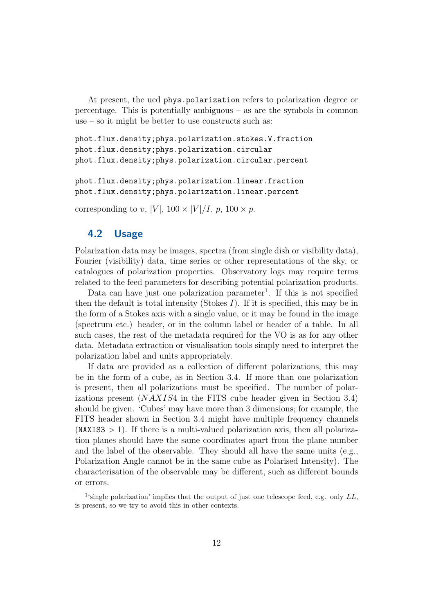At present, the ucd phys.polarization refers to polarization degree or percentage. This is potentially ambiguous – as are the symbols in common use – so it might be better to use constructs such as:

```
phot.flux.density;phys.polarization.stokes.V.fraction
phot.flux.density;phys.polarization.circular
phot.flux.density;phys.polarization.circular.percent
```
phot.flux.density;phys.polarization.linear.fraction phot.flux.density;phys.polarization.linear.percent

corresponding to v, |V|,  $100 \times |V|/I$ , p,  $100 \times p$ .

### 4.2 Usage

Polarization data may be images, spectra (from single dish or visibility data), Fourier (visibility) data, time series or other representations of the sky, or catalogues of polarization properties. Observatory logs may require terms related to the feed parameters for describing potential polarization products.

Data can have just one polarization parameter<sup>1</sup>. If this is not specified then the default is total intensity (Stokes  $I$ ). If it is specified, this may be in the form of a Stokes axis with a single value, or it may be found in the image (spectrum etc.) header, or in the column label or header of a table. In all such cases, the rest of the metadata required for the VO is as for any other data. Metadata extraction or visualisation tools simply need to interpret the polarization label and units appropriately.

If data are provided as a collection of different polarizations, this may be in the form of a cube, as in Section 3.4. If more than one polarization is present, then all polarizations must be specified. The number of polarizations present  $(NAXIS4$  in the FITS cube header given in Section 3.4) should be given. 'Cubes' may have more than 3 dimensions; for example, the FITS header shown in Section 3.4 might have multiple frequency channels  $(NAXIS3 > 1)$ . If there is a multi-valued polarization axis, then all polarization planes should have the same coordinates apart from the plane number and the label of the observable. They should all have the same units (e.g., Polarization Angle cannot be in the same cube as Polarised Intensity). The characterisation of the observable may be different, such as different bounds or errors.

<sup>&</sup>lt;sup>1</sup>'single polarization' implies that the output of just one telescope feed, e.g. only  $LL$ , is present, so we try to avoid this in other contexts.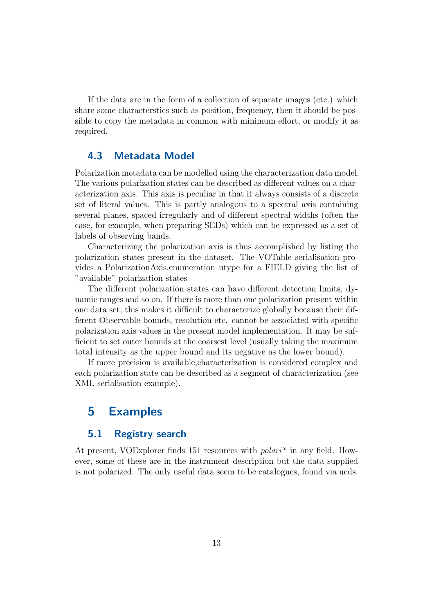If the data are in the form of a collection of separate images (etc.) which share some characterstics such as position, frequency, then it should be possible to copy the metadata in common with minimum effort, or modify it as required.

#### 4.3 Metadata Model

Polarization metadata can be modelled using the characterization data model. The various polarization states can be described as different values on a characterization axis. This axis is peculiar in that it always consists of a discrete set of literal values. This is partly analogous to a spectral axis containing several planes, spaced irregularly and of different spectral widths (often the case, for example, when preparing SEDs) which can be expressed as a set of labels of observing bands.

Characterizing the polarization axis is thus accomplished by listing the polarization states present in the dataset. The VOTable serialisation provides a PolarizationAxis.enumeration utype for a FIELD giving the list of "available" polarization states

The different polarization states can have different detection limits, dynamic ranges and so on. If there is more than one polarization present within one data set, this makes it difficult to characterize globally because their different Observable bounds, resolution etc. cannot be associated with specific polarization axis values in the present model implementation. It may be sufficient to set outer bounds at the coarsest level (usually taking the maximum total intensity as the upper bound and its negative as the lower bound).

If more precision is available,characterization is considered complex and each polarization state can be described as a segment of characterization (see XML serialisation example).

## 5 Examples

#### 5.1 Registry search

At present, VOExplorer finds 151 resources with *polari*<sup>\*</sup> in any field. However, some of these are in the instrument description but the data supplied is not polarized. The only useful data seem to be catalogues, found via ucds.